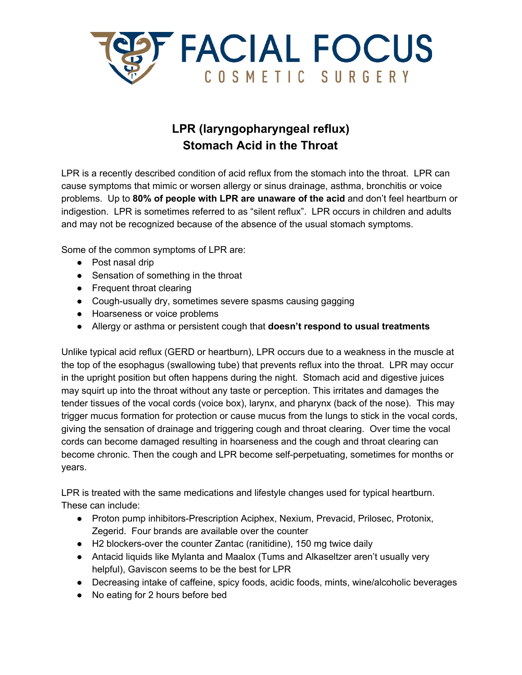

## **LPR (laryngopharyngeal reflux) Stomach Acid in the Throat**

LPR is a recently described condition of acid reflux from the stomach into the throat. LPR can cause symptoms that mimic or worsen allergy or sinus drainage, asthma, bronchitis or voice problems. Up to **80% of people with LPR are unaware of the acid** and don't feel heartburn or indigestion. LPR is sometimes referred to as "silent reflux". LPR occurs in children and adults and may not be recognized because of the absence of the usual stomach symptoms.

Some of the common symptoms of LPR are:

- Post nasal drip
- Sensation of something in the throat
- Frequent throat clearing
- Cough-usually dry, sometimes severe spasms causing gagging
- Hoarseness or voice problems
- Allergy or asthma or persistent cough that **doesn't respond to usual treatments**

Unlike typical acid reflux (GERD or heartburn), LPR occurs due to a weakness in the muscle at the top of the esophagus (swallowing tube) that prevents reflux into the throat. LPR may occur in the upright position but often happens during the night. Stomach acid and digestive juices may squirt up into the throat without any taste or perception. This irritates and damages the tender tissues of the vocal cords (voice box), larynx, and pharynx (back of the nose). This may trigger mucus formation for protection or cause mucus from the lungs to stick in the vocal cords, giving the sensation of drainage and triggering cough and throat clearing. Over time the vocal cords can become damaged resulting in hoarseness and the cough and throat clearing can become chronic. Then the cough and LPR become self-perpetuating, sometimes for months or years.

LPR is treated with the same medications and lifestyle changes used for typical heartburn. These can include:

- Proton pump inhibitors-Prescription Aciphex, Nexium, Prevacid, Prilosec, Protonix, Zegerid. Four brands are available over the counter
- H2 blockers-over the counter Zantac (ranitidine), 150 mg twice daily
- Antacid liquids like Mylanta and Maalox (Tums and Alkaseltzer aren't usually very helpful), Gaviscon seems to be the best for LPR
- Decreasing intake of caffeine, spicy foods, acidic foods, mints, wine/alcoholic beverages
- No eating for 2 hours before bed